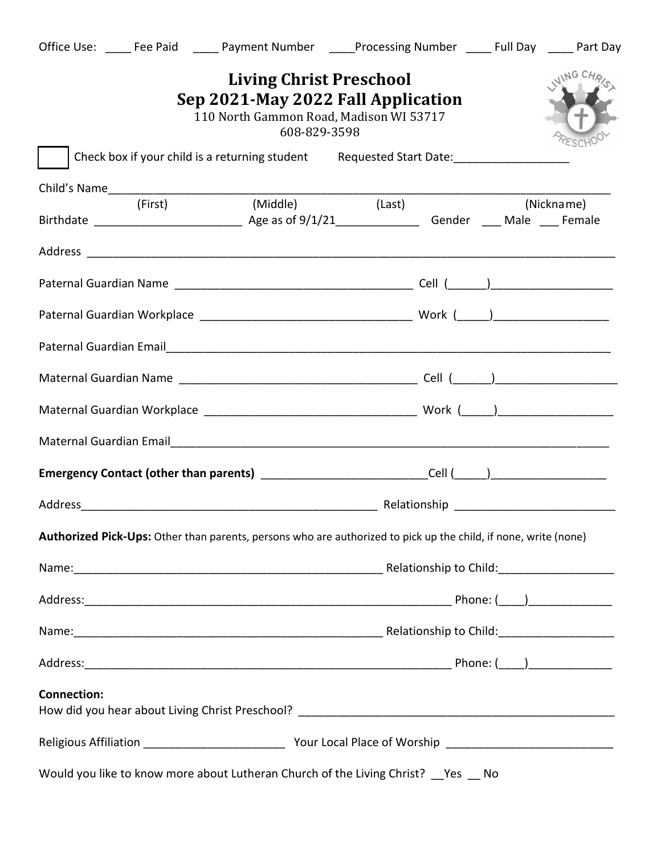| <b>Living Christ Preschool</b><br>Sep 2021-May 2022 Fall Application<br>110 North Gammon Road, Madison WI 53717<br>608-829-3598 |          |                            |  |  |            |  |
|---------------------------------------------------------------------------------------------------------------------------------|----------|----------------------------|--|--|------------|--|
| Check box if your child is a returning student Requested Start Date:                                                            |          |                            |  |  |            |  |
|                                                                                                                                 |          |                            |  |  |            |  |
| (First)                                                                                                                         | (Middle) | $\overline{\text{(Last)}}$ |  |  | (Nickname) |  |
|                                                                                                                                 |          |                            |  |  |            |  |
|                                                                                                                                 |          |                            |  |  |            |  |
|                                                                                                                                 |          |                            |  |  |            |  |
|                                                                                                                                 |          |                            |  |  |            |  |
|                                                                                                                                 |          |                            |  |  |            |  |
|                                                                                                                                 |          |                            |  |  |            |  |
| Maternal Guardian Email Material Communication of the Communication of the Communication of the Communication                   |          |                            |  |  |            |  |
| Emergency Contact (other than parents) ___________________________Cell (____)______________________                             |          |                            |  |  |            |  |
|                                                                                                                                 |          |                            |  |  |            |  |
| Authorized Pick-Ups: Other than parents, persons who are authorized to pick up the child, if none, write (none)                 |          |                            |  |  |            |  |
|                                                                                                                                 |          |                            |  |  |            |  |
|                                                                                                                                 |          |                            |  |  |            |  |
| Name: 1990 Name: 2008 Name: 2008 Name: 2008 Name: 2008 Name: 2008 Name: 2008 Name: 2008 Name: 2008 Name: 2008 N                 |          |                            |  |  |            |  |
|                                                                                                                                 |          |                            |  |  |            |  |
| <b>Connection:</b>                                                                                                              |          |                            |  |  |            |  |
|                                                                                                                                 |          |                            |  |  |            |  |
| Would you like to know more about Lutheran Church of the Living Christ? __ Yes __ No                                            |          |                            |  |  |            |  |

Office Use: \_\_\_\_\_ Fee Paid \_\_\_\_\_ Payment Number \_\_\_\_\_Processing Number \_\_\_\_\_ Full Day \_\_\_\_\_ Part Day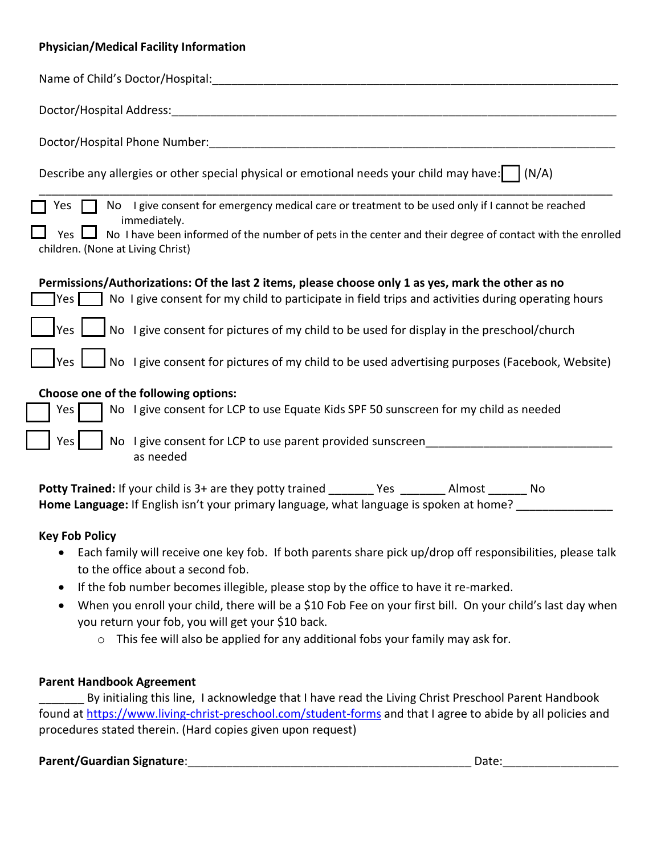## **Physician/Medical Facility Information**

| Name of Child's Doctor/Hospital:                                                                                                                      |
|-------------------------------------------------------------------------------------------------------------------------------------------------------|
| Doctor/Hospital Address:                                                                                                                              |
| Doctor/Hospital Phone Number:                                                                                                                         |
| Describe any allergies or other special physical or emotional needs your child may have:  <br>(N/A)                                                   |
| No I give consent for emergency medical care or treatment to be used only if I cannot be reached<br>Yes.<br>immediately.                              |
| No I have been informed of the number of pets in the center and their degree of contact with the enrolled<br>Yes<br>children. (None at Living Christ) |
| Permissions/Authorizations: Of the last 2 items, please choose only 1 as yes, mark the other as no                                                    |
| No I give consent for my child to participate in field trips and activities during operating hours<br>Yes l                                           |
| No I give consent for pictures of my child to be used for display in the preschool/church<br>Yes                                                      |
| No I give consent for pictures of my child to be used advertising purposes (Facebook, Website)<br><b>I</b> Yes                                        |
| Choose one of the following options:                                                                                                                  |
| No I give consent for LCP to use Equate Kids SPF 50 sunscreen for my child as needed<br>Yes                                                           |
| No I give consent for LCP to use parent provided sunscreen<br>Yes<br>as needed                                                                        |

| <b>Potty Trained:</b> If your child is 3+ are they potty trained                        | Yes | Almost | No. |
|-----------------------------------------------------------------------------------------|-----|--------|-----|
| Home Language: If English isn't your primary language, what language is spoken at home? |     |        |     |

## **Key Fob Policy**

- Each family will receive one key fob. If both parents share pick up/drop off responsibilities, please talk to the office about a second fob.
- If the fob number becomes illegible, please stop by the office to have it re-marked.
- When you enroll your child, there will be a \$10 Fob Fee on your first bill. On your child's last day when you return your fob, you will get your \$10 back.
	- o This fee will also be applied for any additional fobs your family may ask for.

## **Parent Handbook Agreement**

By initialing this line, I acknowledge that I have read the Living Christ Preschool Parent Handbook found at<https://www.living-christ-preschool.com/student-forms> and that I agree to abide by all policies and procedures stated therein. (Hard copies given upon request)

Parent/Guardian Signature: **Notified a set of the set of the set of the set of the set of the set of the set of the set of the set of the set of the set of the set of the set of the set of the set of the set of the set of**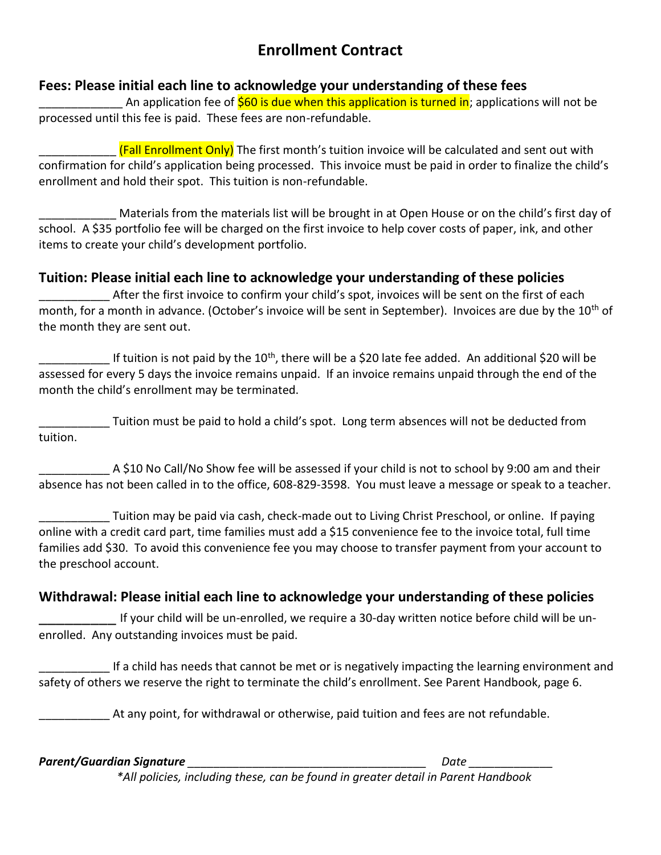## **Enrollment Contract**

## **Fees: Please initial each line to acknowledge your understanding of these fees**

An application fee of **\$60 is due when this application is turned in**; applications will not be processed until this fee is paid. These fees are non-refundable.

(Fall Enrollment Only) The first month's tuition invoice will be calculated and sent out with confirmation for child's application being processed. This invoice must be paid in order to finalize the child's enrollment and hold their spot. This tuition is non-refundable.

Materials from the materials list will be brought in at Open House or on the child's first day of school. A \$35 portfolio fee will be charged on the first invoice to help cover costs of paper, ink, and other items to create your child's development portfolio.

## **Tuition: Please initial each line to acknowledge your understanding of these policies**

After the first invoice to confirm your child's spot, invoices will be sent on the first of each month, for a month in advance. (October's invoice will be sent in September). Invoices are due by the 10<sup>th</sup> of the month they are sent out.

If tuition is not paid by the 10<sup>th</sup>, there will be a \$20 late fee added. An additional \$20 will be assessed for every 5 days the invoice remains unpaid. If an invoice remains unpaid through the end of the month the child's enrollment may be terminated.

\_\_\_\_\_\_\_\_\_\_\_ Tuition must be paid to hold a child's spot. Long term absences will not be deducted from tuition.

A \$10 No Call/No Show fee will be assessed if your child is not to school by 9:00 am and their absence has not been called in to the office, 608-829-3598. You must leave a message or speak to a teacher.

\_\_\_\_\_\_\_\_\_\_\_ Tuition may be paid via cash, check-made out to Living Christ Preschool, or online. If paying online with a credit card part, time families must add a \$15 convenience fee to the invoice total, full time families add \$30. To avoid this convenience fee you may choose to transfer payment from your account to the preschool account.

## **Withdrawal: Please initial each line to acknowledge your understanding of these policies**

If your child will be un-enrolled, we require a 30-day written notice before child will be unenrolled. Any outstanding invoices must be paid.

\_\_\_\_\_\_\_\_\_\_\_ If a child has needs that cannot be met or is negatively impacting the learning environment and safety of others we reserve the right to terminate the child's enrollment. See Parent Handbook, page 6.

At any point, for withdrawal or otherwise, paid tuition and fees are not refundable.

*Parent/Guardian Signature \_\_\_\_\_\_\_\_\_\_\_\_\_\_\_\_\_\_\_\_\_\_\_\_\_\_\_\_\_\_\_\_\_\_\_\_\_ Date \_\_\_\_\_\_\_\_\_\_\_\_\_*

*\*All policies, including these, can be found in greater detail in Parent Handbook*